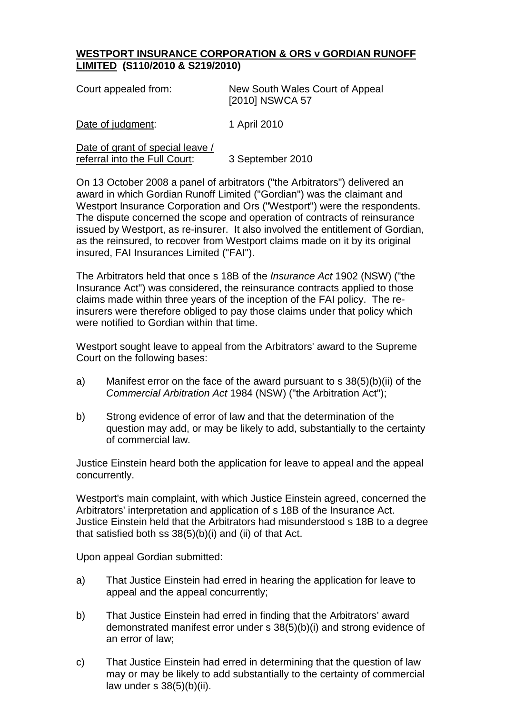## **WESTPORT INSURANCE CORPORATION & ORS v GORDIAN RUNOFF LIMITED (S110/2010 & S219/2010)**

| Court appealed from:                                              | New South Wales Court of Appeal<br>[2010] NSWCA 57 |
|-------------------------------------------------------------------|----------------------------------------------------|
| Date of judgment:                                                 | 1 April 2010                                       |
| Date of grant of special leave /<br>referral into the Full Court: | 3 September 2010                                   |

On 13 October 2008 a panel of arbitrators ("the Arbitrators") delivered an award in which Gordian Runoff Limited ("Gordian") was the claimant and Westport Insurance Corporation and Ors ("Westport") were the respondents. The dispute concerned the scope and operation of contracts of reinsurance issued by Westport, as re-insurer. It also involved the entitlement of Gordian, as the reinsured, to recover from Westport claims made on it by its original insured, FAI Insurances Limited ("FAI").

The Arbitrators held that once s 18B of the *Insurance Act* 1902 (NSW) ("the Insurance Act") was considered, the reinsurance contracts applied to those claims made within three years of the inception of the FAI policy. The reinsurers were therefore obliged to pay those claims under that policy which were notified to Gordian within that time.

Westport sought leave to appeal from the Arbitrators' award to the Supreme Court on the following bases:

- a) Manifest error on the face of the award pursuant to s 38(5)(b)(ii) of the *Commercial Arbitration Act* 1984 (NSW) ("the Arbitration Act");
- b) Strong evidence of error of law and that the determination of the question may add, or may be likely to add, substantially to the certainty of commercial law.

Justice Einstein heard both the application for leave to appeal and the appeal concurrently.

Westport's main complaint, with which Justice Einstein agreed, concerned the Arbitrators' interpretation and application of s 18B of the Insurance Act. Justice Einstein held that the Arbitrators had misunderstood s 18B to a degree that satisfied both ss 38(5)(b)(i) and (ii) of that Act.

Upon appeal Gordian submitted:

- a) That Justice Einstein had erred in hearing the application for leave to appeal and the appeal concurrently;
- b) That Justice Einstein had erred in finding that the Arbitrators' award demonstrated manifest error under s 38(5)(b)(i) and strong evidence of an error of law;
- c) That Justice Einstein had erred in determining that the question of law may or may be likely to add substantially to the certainty of commercial law under  $s$  38(5)(b)(ii).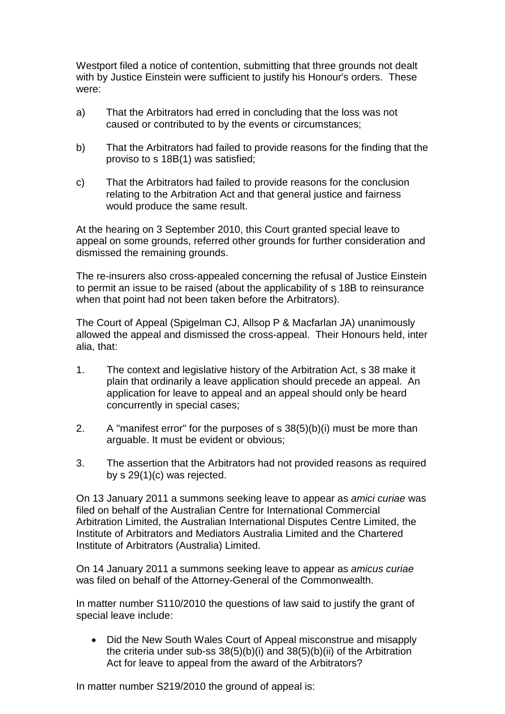Westport filed a notice of contention, submitting that three grounds not dealt with by Justice Einstein were sufficient to justify his Honour's orders. These were:

- a) That the Arbitrators had erred in concluding that the loss was not caused or contributed to by the events or circumstances;
- b) That the Arbitrators had failed to provide reasons for the finding that the proviso to s 18B(1) was satisfied;
- c) That the Arbitrators had failed to provide reasons for the conclusion relating to the Arbitration Act and that general justice and fairness would produce the same result.

At the hearing on 3 September 2010, this Court granted special leave to appeal on some grounds, referred other grounds for further consideration and dismissed the remaining grounds.

The re-insurers also cross-appealed concerning the refusal of Justice Einstein to permit an issue to be raised (about the applicability of s 18B to reinsurance when that point had not been taken before the Arbitrators).

The Court of Appeal (Spigelman CJ, Allsop P & Macfarlan JA) unanimously allowed the appeal and dismissed the cross-appeal. Their Honours held, inter alia, that:

- 1. The context and legislative history of the Arbitration Act, s 38 make it plain that ordinarily a leave application should precede an appeal. An application for leave to appeal and an appeal should only be heard concurrently in special cases;
- 2. A "manifest error" for the purposes of s 38(5)(b)(i) must be more than arguable. It must be evident or obvious;
- 3. The assertion that the Arbitrators had not provided reasons as required by s 29(1)(c) was rejected.

On 13 January 2011 a summons seeking leave to appear as *amici curiae* was filed on behalf of the Australian Centre for International Commercial Arbitration Limited, the Australian International Disputes Centre Limited, the Institute of Arbitrators and Mediators Australia Limited and the Chartered Institute of Arbitrators (Australia) Limited.

On 14 January 2011 a summons seeking leave to appear as *amicus curiae* was filed on behalf of the Attorney-General of the Commonwealth.

In matter number S110/2010 the questions of law said to justify the grant of special leave include:

• Did the New South Wales Court of Appeal misconstrue and misapply the criteria under sub-ss 38(5)(b)(i) and 38(5)(b)(ii) of the Arbitration Act for leave to appeal from the award of the Arbitrators?

In matter number S219/2010 the ground of appeal is: